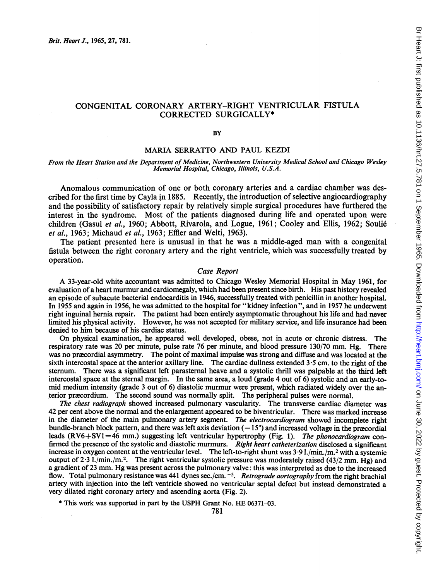## CONGENITAL CORONARY ARTERY-RIGHT VENTRICULAR FISTULA CORRECTED SURGICALLY\*

**BY** 

#### MARIA SERRATTO AND PAUL KEZDI

From the Heart Station and the Department of Medicine, Northwestern University Medical School and Chicago Wesley Memorial Hospital, Chicago, Illinois, U.S.A.

Anomalous communication of one or both coronary arteries and a cardiac chamber was described for the first time by Cayla in 1885. Recently, the introduction of selective angiocardiography and the possibility of satisfactory repair by relatively simple surgical procedures have furthered the interest in the syndrome. Most of the patients diagnosed during life and operated upon were children (Gasul et al., 1960; Abbott, Rivarola, and Logue, 1961; Cooley and Ellis, 1962; Soulié et al., 1963; Michaud et al., 1963; Effler and Welti, 1963).

The patient presented here is unusual in that he was <sup>a</sup> middle-aged man with a congenital fistula between the right coronary artery and the right ventricle, which was successfully treated by operation.

#### Case Report

A 33-year-old white accountant was admitted to Chicago Wesley Memorial Hospital in May 1961, for evaluation of a heart murmur and cardiomegaly, which had been present since birth. His past history revealed an episode of subacute bacterial endocarditis in 1946, successfully treated with penicillin in another hospital. In 1955 and again in 1956, he was admitted to the hospital for "kidney infection", and in 1957 he underwent right inguinal hernia repair. The patient had been entirely asymptomatic throughout his life and had never limited his physical activity. However, he was not accepted for military service, and life insurance had been denied to him because of his cardiac status.

On physical examination, he appeared well developed, obese, not in acute or chronic distress. The respiratory rate was 20 per minute, pulse rate 76 per minute, and blood pressure 130/70 mm. Hg. There was no precordial asymmetry. The point of maximal impulse was strong and diffuse and was located at the sixth intercostal space at the anterior axillary line. The cardiac dullness extended  $3.5$  cm. to the right of the sternum. There was a significant left parasternal heave and a systolic thrill was palpable at the third left intercostal space at the sternal margin. In the same area, a loud (grade 4 out of 6) systolic and an early-tomid medium intensity (grade <sup>3</sup> out of 6) diastolic murmur were present, which radiated widely over the anterior præcordium. The second sound was normally split. The peripheral pulses were normal.

The chest radiograph showed increased pulmonary vascularity. The transverse cardiac diameter was 42 per cent above the normal and the enlargement appeared to be biventricular. There was marked increase in the diameter of the main pulmonary artery segment. The electrocardiogram showed incomplete right bundle-branch block pattern, and there was left axis deviation  $(-15^{\circ})$  and increased voltage in the pracordial leads  $(RV6+SV1=46$  mm.) suggesting left ventricular hypertrophy (Fig. 1). The phonocardiogram confirmed the presence of the systolic and diastolic murmurs. Right heart catheterization disclosed a significant increase in oxygen content at the ventricular level. The left-to-right shunt was <sup>3</sup> 9 l./min./m.2 with a systemic output of 2.3 l./min./m.<sup>2</sup>. The right ventricular systolic pressure was moderately raised (43/2 mm. Hg) and a gradient of 23 mm. Hg was present across the pulmonary valve: this was interpreted as due to the increased flow. Total pulmonary resistance was 441 dynes sec./cm. <sup>-5</sup>. Retrograde aortography from the right brachial artery with injection into the left ventricle showed no ventricular septal defect but instead demonstrated a very dilated right coronary artery and ascending aorta (Fig. 2).

\* This work was supported in part by the USPH Grant No. HE 06371-03.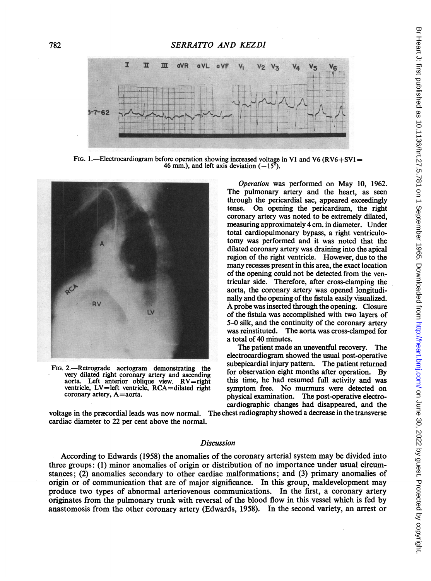

FIG. 1.—Electrocardiogram before operation showing increased voltage in V1 and V6 (RV6+SV1 = 46 mm.), and left axis deviation  $(-15^{\circ})$ .



aorta. Left anterior oblique view.  $RV = right$  ventricle,  $LV = left$  ventricle,  $RCA = dilated$  right

Operation was performed on May 10, 1962. The pulmonary artery and the heart, as seen through the pericardial sac, appeared exceedingly tense. On opening the pericardium, the right coronary artery was noted to be extremely dilated, measuring approximately 4 cm. in diameter. Under total cardiopulmonary bypass, a right ventriculotomy was performed and it was noted that the dilated coronary artery was draining into the apical region of the right ventricle. However, due to the many recesses present in this area, the exact location of the opening could not be detected from the ventricular side. Therefore, after cross-clamping the aorta, the coronary artery was opened longitudinally and the opening of the fistula easily visualized. A probe was inserted through the opening. Closure of the fistula was accomplished with two layers of 5–0 silk, and the continuity of the coronary artery Example the coronary artery was opened longitudinally and the opening of the fistula easily visualized.<br>A probe was inserted through the opening. Closure<br>of the fistula was accomplished with two layers of<br>5-0 silk, and the was reinstituted. The aorta was cross-clamped for a total of 40 minutes.

The patient made an uneventful recovery. The electrocardiogram showed the usual post-operative FIG. 2.—Retrograde aortogram demonstrating the very dilated right coronary artery and ascending for observation eight months after operation. By aorta. Left anterior oblique view  $RV =$ right this time, he had resumed full a ventricle, LV=left ventricle, RCA=dilated right symptom free. No murmurs were detected on coronary artery, A=aorta. physical examination. The post-operative electrocardiographic changes had disappeared, and the

voltage in the præcordial leads was now normal. The chest radiography showed a decrease in the transverse cardiac diameter to 22 per cent above the normal.

## Discussion

According to Edwards (1958) the anomalies of the coronary arterial system may be divided into three groups: (1) minor anomalies of origin or distribution of no importance under usual circumstances; (2) anomalies secondary to other cardiac malformations; and (3) primary anomalies of origin or of communication that are of major significance. In this group, maldevelopment may produce two types of abnormal arteriovenous communications. In the first, a coronary artery originates from the pulmonary trunk with reversal of the blood flow in this vessel which is fed by anastomosis from the other coronary artery (Edwards, 1958). In the second variety, an arrest or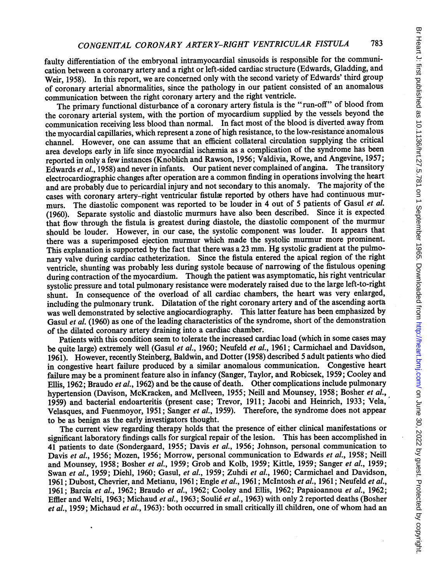faulty differentiation of the embryonal intramyocardial sinusoids is responsible for the communication between <sup>a</sup> coronary artery and <sup>a</sup> right or left-sided cardiac structure (Edwards, Gladding, and Weir, 1958). In this report, we are concerned only with the second variety of Edwards' third group of coronary arterial abnormalities, since the pathology in our patient consisted of an anomalous communication between the right coronary artery and the right ventricle.

The primary functional disturbance of <sup>a</sup> coronary artery fistula is the "run-off" of blood from the coronary arterial system, with the portion of myocardium supplied by the vessels beyond the communication receiving less blood than normal. In fact most of the blood is diverted away from the myocardial capillaries, which represent <sup>a</sup> zone of high resistance, to the low-resistance anomalous channel. However, one can assume that an efficient collateral circulation supplying the critical area develops early in life since myocardial ischemia as <sup>a</sup> complication of the syndrome has been reported in only a few instances (Knoblich and Rawson, 1956; Valdivia, Rowe, and Angevine, 1957; Edwards et al., 1958) and never in infants. Our patient never complained of angina. The transitory electrocardiographic changes after operation are a common finding in operations involving the heart and are probably due to pericardial injury and not secondary to this anomaly. The majority of the cases with coronary artery-right ventricular fistule reported by others have had continuous murmurs. The diastolic component was reported to be louder in 4 out of 5 patients of Gasul et al. (1960). Separate systolic and diastolic murmurs have also been described. Since it is expected that flow through the fistula is greatest during diastole, the diastolic component of the murmur should be louder. However, in our case, the systolic component was louder. It appears that there was a superimposed ejection murmur which made the systolic murmur more prominent. This explanation is supported by the fact that there was <sup>a</sup> <sup>23</sup> mm. Hg systolic gradient at the pulmonary valve during cardiac catheterization. Since the fistula entered the apical region of the right ventricle, shunting was probably less during systole because of narrowing of the fistulous opening during contraction of the myocardium. Though the patient was asymptomatic, his right ventricular systolic pressure and total pulmonary resistance were moderately raised due to the large left-to-right shunt. In consequence of the overload of all cardiac chambers, the heart was very enlarged, including the pulmonary trunk. Dilatation of the right coronary artery and of the ascending aorta was well demonstrated by selective angiocardiography. This latter feature has been emphasized by Gasul et al. (1960) as one of the leading characteristics of the syndrome, short of the demonstration of the dilated coronary artery draining into a cardiac chamber.

Patients with this condition seem to tolerate the increased cardiac load (which in some cases may be quite large) extremely well (Gasul et al., 1960; Neufeld et al., 1961; Carmichael and Davidson, 1961). However, recently Steinberg, Baldwin, and Dotter (1958) described <sup>5</sup> adult patients who died in congestive heart failure produced by a similar anomalous communication. Congestive heart failure may be <sup>a</sup> prominent feature also in infancy (Sanger, Taylor, and Robicsek, 1959; Cooley and Ellis, 1962; Braudo et al., 1962) and be the cause of death. Other complications include pulmonary hypertension (Davison, McKracken, and McIlveen, 1955; Neill and Mounsey, 1958; Bosher et al., 1959) and bacterial endoarteritis (present case; Trevor, 1911; Jacobi and Heinrich, 1933; Vela, Velasques, and Fuenmoyor, 1951; Sanger et al., 1959). Therefore, the syndrome does not appear to be as benign as the early investigators thought.

The current view regarding therapy holds that the presence of either clinical manifestations or significant laboratory findings calls for surgical repair of the lesion. This has been accomplished in 41 patients to date (Sondergaard, 1955; Davis et al., 1956; Johnson, personal communication to Davis et al., 1956; Mozen, 1956; Morrow, personal communication to Edwards et al., 1958; Neill and Mounsey, 1958; Bosher et al., 1959; Grob and Kolb, 1959; Kittle, 1959; Sanger et al., 1959; Swan et al., 1959; Diehl, 1960; Gasul, et al., 1959; Zuhdi et al., 1960; Carmichael and Davidson, 1961; Dubost, Chevrier, and Metianu, 1961; Engle et al., 1961; McIntosh et al., 1961; Neufeld et al., 1961; Barcia et al., 1962; Braudo et al., 1962; Cooley and Ellis, 1962; Papaioannou et al., 1962; Effler and Welti, 1963; Michaud et al., 1963; Soulié et al., 1963) with only 2 reported deaths (Bosher et al., 1959; Michaud et al., 1963): both occurred in small critically ill children, one of whom had an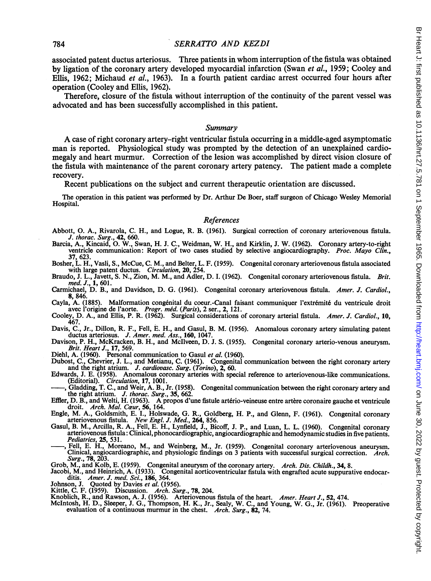### <sup>784</sup> SERRAITO AND KEZDI

associated patent ductus arteriosus. Three patients in whom interruption of the fistula was obtained by ligation of the coronary artery developed myocardial infarction (Swan et al., 1959; Cooley and Ellis, 1962; Michaud et al., 1963). In a fourth patient cardiac arrest occurred four hours after operation (Cooley and Ellis, 1962).

Therefore, closure of the fistula without interruption of the continuity of the parent vessel was advocated and has been successfully accomplished in this patient.

#### Summary

A case of right coronary artery-right ventricular fistula occurring in <sup>a</sup> middle-aged asymptomatic man is reported. Physiological study was prompted by the detection of an unexplained cardiomegaly and heart murmur. Correction of the lesion was accomplished by direct vision closure of the fistula with maintenance of the parent coronary artery patency. The patient made a complete recovery.

Recent publications on the subject and current therapeutic orientation are discussed.

The operation in this patient was performed by Dr. Arthur De Boer, staff surgeon of Chicago Wesley Memorial Hospital.

# References

- Abbott, 0. A., Rivarola, C. H., and Logue, R. B. (1961). Surgical correction of coronary arteriovenous fistula.
- J. thorac. Surg., 42, 660. Barcia, A., Kincaid, 0. W., Swan, H. J. C., Weidman, W. H., and Kirklin, J. W. (1962). Coronary artery-to-right ventricle communication: Report of two cases studied by selective angiocardiography. Proc. Mayo Clin., 37, 623.
- Bosher, L. H., Vasli, S., McCue, C. M., and Belter, L. F. (1959). Congenital coronary arteriovenous fistula associated with large patent ductus. Circulation, 20, 254.
- Braudo, J. L., Javett, S. N., Zion, M. M., and Adler, D. I. (1962). Congenital coronary arteriovenous fistula. Brit.
- med. J., 1, 601.<br>Carmichael, D. B., and Davidson, D. G. (1961). Congenital coronary arteriovenous fistula. Amer. J. Cardiol., 8, 846.
- Cayla, A. (1885). Malformation congenital du coeur.-Canal faisant communiquer l'extremit6 du ventricule droit avec l'origine de l'aorte. Progr. méd. (Paris), 2 ser., 2, 121.
- Cooley, D. A., and Ellis, P. R. (1962). Surgical considerations of coronary arterial fistula. Amer. J. Cardiol., 10,
- 467. Davis, C., Jr., Dillon, R. F., Fell, E. H., and Gasul, B. M. (1956). Anomalous coronary artery simulating patent ductus arteriosus. J. Amer. med. Ass., 160, 1047.
- Davison, P. H., McKracken, B. H., and Mcllveen, D. J. S. (1955). Congenital coronary arterio-venous aneurysm. Brit. Heart J., 17, 569.<br>Diehl, A. (1960). Personal communication to Gasul et al. (1960).
- 

Dubost, C., Chevrier, J. L., and Metianu, C. (1961). Congenital communication between the right coronary artery and the right atrium. J. cardiovasc. Surg. (Torino), 2, 60.

- Edwards, J. E. (1958). Anomalous coronary arteries with special reference to arteriovenous-like communications.
- (Editorial). Circulation, 17, 1001.<br>-, Gladding, T. C., and Weir, A. B., Jr. (1958). Congenital communication between the right coronary artery and
- the right atrium. J. thorac. Surg., 35, 662.<br>Effler, D. B., and Welti, H. (1963). A propos d'une fistule artério-veineuse entre artère coronaire gauche et ventricule<br>droit. Arch. Mal. Ceur, 56, 164.<br>Engle, M. A., Goldsmith
- arteriovenous fistula. New Engl. J. Med., 264, 856.<br>Gasul, B. M., Arcilla, R. A., Fell, E. H., Lynfield, J., Bicoff, J. P., and Luan, L. L. (1960). Congenital coronary
- arteriovenous fistula: Clinical,phonocardiographic, angiocardiographic and hemodynamic studies in five patients. Pediatrics, 25, 531.
- , Fell, E. H., Moreano, M., and Weinberg, M., Jr. (1959). Congenital coronary arteriovenous aneurysm. Clinical, angiocardiographic, and physiologic findings on 3 patients with successful surgical correction. Arch. Surg., 78, 203.

Grob, M., and Kolb, E. (1959). Congenital aneurysm of the coronary artery. *Arch. Dis. Childh.*, 34, 8.<br>Jacobi, M., and Heinrich, A. (1933). Congenital aorticoventricular fistula with engrafted acute suppurative endocar-

- ditis. *Amer. J. med. Sci.*, **186**, 364.<br>Johnson, J. Quoted by Davies *et al.* (1956).<br>Kittle, C. F. (1959). Discussion. *Arch. Surg.*, 78, 204.
- 
- 
- 
- Knoblich, R., and Rawson, A. J. (1956). Arteriovenous fistula of the heart. Amer. Heart J., 52, 474.<br>McIntosh, H. D., Sleeper, J. G., Thompson, H. K., Jr., Sealy, W. C., and Young, W. G., Jr. (1961). Preoperative<br>evaluatio